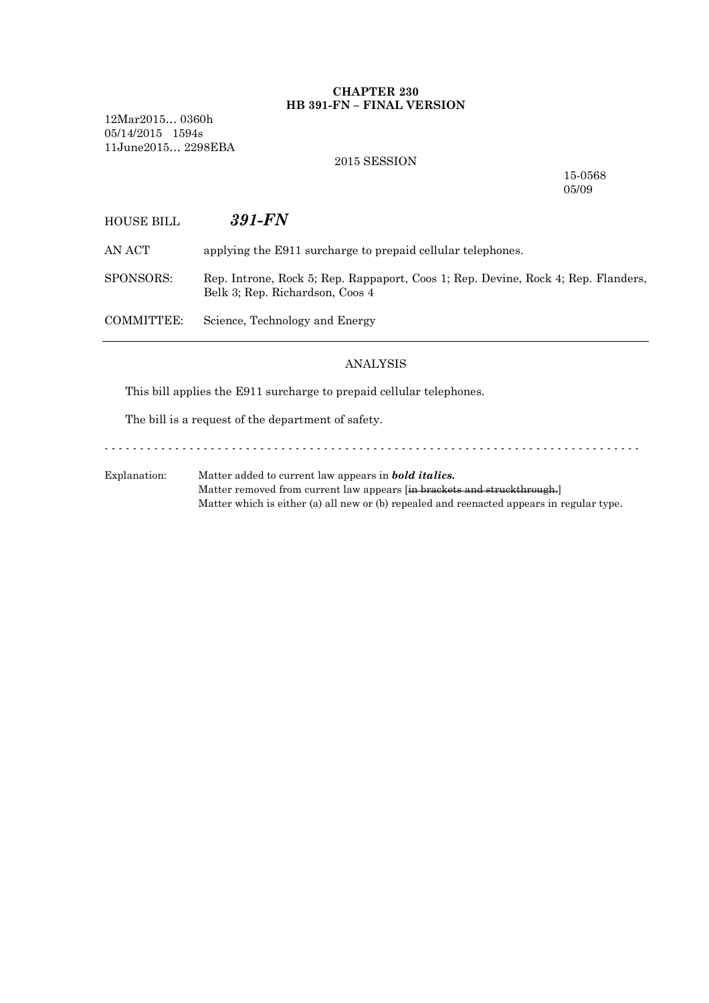## **CHAPTER 230 HB 391-FN – FINAL VERSION**

12Mar2015… 0360h 05/14/2015 1594s 11June2015… 2298EBA

### 2015 SESSION

15-0568 05/09

# HOUSE BILL *391-FN*

AN ACT applying the E911 surcharge to prepaid cellular telephones.

SPONSORS: Rep. Introne, Rock 5; Rep. Rappaport, Coos 1; Rep. Devine, Rock 4; Rep. Flanders, Belk 3; Rep. Richardson, Coos 4

COMMITTEE: Science, Technology and Energy

### ANALYSIS

This bill applies the E911 surcharge to prepaid cellular telephones.

The bill is a request of the department of safety.

- - - - - - - - - - - - - - - - - - - - - - - - - - - - - - - - - - - - - - - - - - - - - - - - - - - - - - - - - - - - - - - - - - - - - - - - - - - -

Explanation: Matter added to current law appears in *bold italics.* Matter removed from current law appears [in brackets and struckthrough.] Matter which is either (a) all new or (b) repealed and reenacted appears in regular type.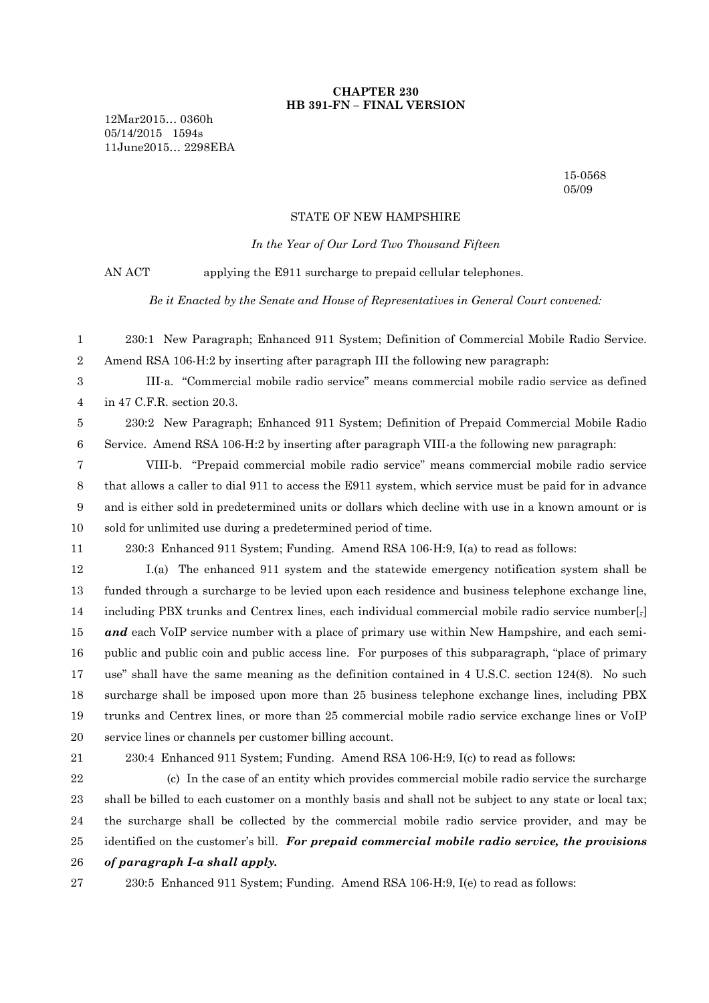### **CHAPTER 230 HB 391-FN – FINAL VERSION**

12Mar2015… 0360h 05/14/2015 1594s 11June2015… 2298EBA

> 15-0568 05/09

#### STATE OF NEW HAMPSHIRE

*In the Year of Our Lord Two Thousand Fifteen*

AN ACT applying the E911 surcharge to prepaid cellular telephones.

*Be it Enacted by the Senate and House of Representatives in General Court convened:*

 230:1 New Paragraph; Enhanced 911 System; Definition of Commercial Mobile Radio Service. Amend RSA 106-H:2 by inserting after paragraph III the following new paragraph:

 III-a. "Commercial mobile radio service" means commercial mobile radio service as defined in 47 C.F.R. section 20.3.

 230:2 New Paragraph; Enhanced 911 System; Definition of Prepaid Commercial Mobile Radio Service. Amend RSA 106-H:2 by inserting after paragraph VIII-a the following new paragraph:

 VIII-b. "Prepaid commercial mobile radio service" means commercial mobile radio service that allows a caller to dial 911 to access the E911 system, which service must be paid for in advance and is either sold in predetermined units or dollars which decline with use in a known amount or is sold for unlimited use during a predetermined period of time.

230:3 Enhanced 911 System; Funding. Amend RSA 106-H:9, I(a) to read as follows:

 I.(a) The enhanced 911 system and the statewide emergency notification system shall be funded through a surcharge to be levied upon each residence and business telephone exchange line, including PBX trunks and Centrex lines, each individual commercial mobile radio service number[,] *and* each VoIP service number with a place of primary use within New Hampshire, and each semi- public and public coin and public access line. For purposes of this subparagraph, "place of primary use" shall have the same meaning as the definition contained in 4 U.S.C. section 124(8). No such surcharge shall be imposed upon more than 25 business telephone exchange lines, including PBX trunks and Centrex lines, or more than 25 commercial mobile radio service exchange lines or VoIP service lines or channels per customer billing account.

230:4 Enhanced 911 System; Funding. Amend RSA 106-H:9, I(c) to read as follows:

22 (c) In the case of an entity which provides commercial mobile radio service the surcharge shall be billed to each customer on a monthly basis and shall not be subject to any state or local tax; the surcharge shall be collected by the commercial mobile radio service provider, and may be identified on the customer's bill. *For prepaid commercial mobile radio service, the provisions of paragraph I-a shall apply.*

230:5 Enhanced 911 System; Funding. Amend RSA 106-H:9, I(e) to read as follows: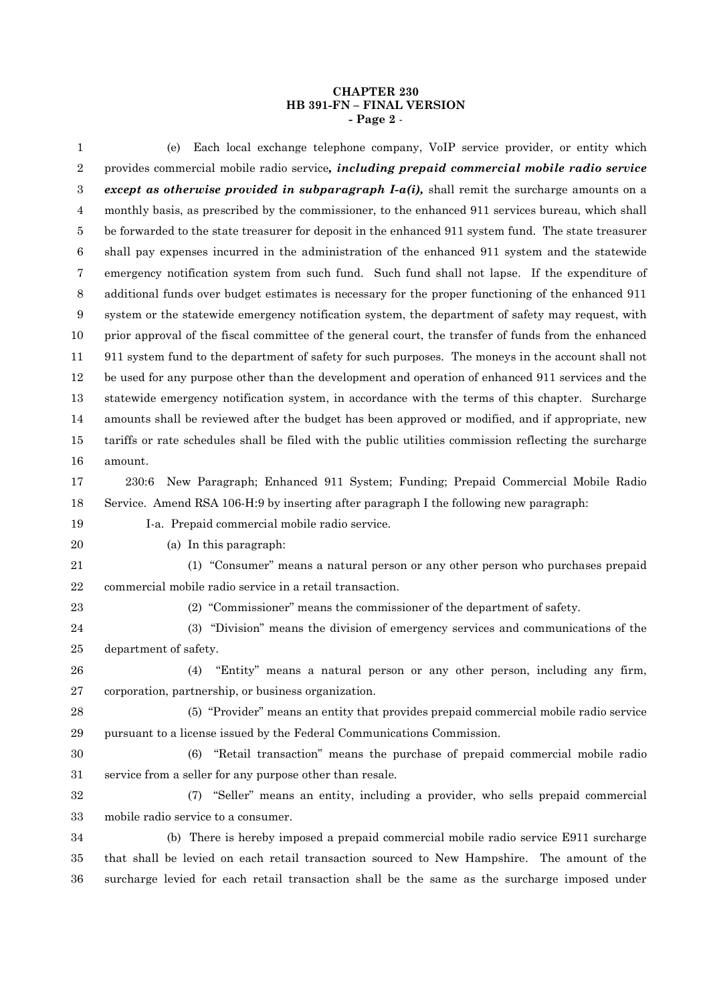#### **CHAPTER 230 HB 391-FN – FINAL VERSION - Page 2** -

 (e) Each local exchange telephone company, VoIP service provider, or entity which provides commercial mobile radio service*, including prepaid commercial mobile radio service except as otherwise provided in subparagraph I-a(i),* shall remit the surcharge amounts on a monthly basis, as prescribed by the commissioner, to the enhanced 911 services bureau, which shall be forwarded to the state treasurer for deposit in the enhanced 911 system fund. The state treasurer shall pay expenses incurred in the administration of the enhanced 911 system and the statewide emergency notification system from such fund. Such fund shall not lapse. If the expenditure of additional funds over budget estimates is necessary for the proper functioning of the enhanced 911 system or the statewide emergency notification system, the department of safety may request, with prior approval of the fiscal committee of the general court, the transfer of funds from the enhanced 911 system fund to the department of safety for such purposes. The moneys in the account shall not be used for any purpose other than the development and operation of enhanced 911 services and the statewide emergency notification system, in accordance with the terms of this chapter. Surcharge amounts shall be reviewed after the budget has been approved or modified, and if appropriate, new tariffs or rate schedules shall be filed with the public utilities commission reflecting the surcharge amount. 230:6 New Paragraph; Enhanced 911 System; Funding; Prepaid Commercial Mobile Radio Service. Amend RSA 106-H:9 by inserting after paragraph I the following new paragraph: I-a. Prepaid commercial mobile radio service. (a) In this paragraph: (1) "Consumer" means a natural person or any other person who purchases prepaid commercial mobile radio service in a retail transaction. (2) "Commissioner" means the commissioner of the department of safety. (3) "Division" means the division of emergency services and communications of the department of safety. (4) "Entity" means a natural person or any other person, including any firm, corporation, partnership, or business organization. (5) "Provider" means an entity that provides prepaid commercial mobile radio service pursuant to a license issued by the Federal Communications Commission. (6) "Retail transaction" means the purchase of prepaid commercial mobile radio service from a seller for any purpose other than resale. (7) "Seller" means an entity, including a provider, who sells prepaid commercial mobile radio service to a consumer. (b) There is hereby imposed a prepaid commercial mobile radio service E911 surcharge that shall be levied on each retail transaction sourced to New Hampshire. The amount of the

surcharge levied for each retail transaction shall be the same as the surcharge imposed under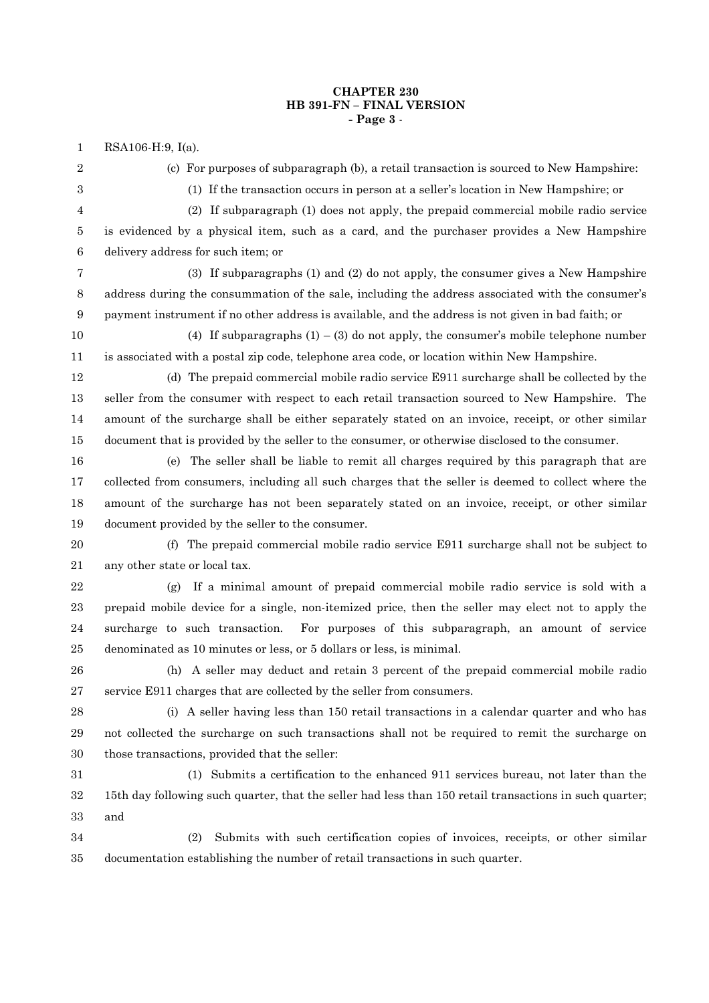### **CHAPTER 230 HB 391-FN – FINAL VERSION - Page 3** -

RSA106-H:9, I(a).

(c) For purposes of subparagraph (b), a retail transaction is sourced to New Hampshire:

(1) If the transaction occurs in person at a seller's location in New Hampshire; or

 (2) If subparagraph (1) does not apply, the prepaid commercial mobile radio service is evidenced by a physical item, such as a card, and the purchaser provides a New Hampshire

delivery address for such item; or

 (3) If subparagraphs (1) and (2) do not apply, the consumer gives a New Hampshire address during the consummation of the sale, including the address associated with the consumer's payment instrument if no other address is available, and the address is not given in bad faith; or

10 (4) If subparagraphs  $(1) - (3)$  do not apply, the consumer's mobile telephone number is associated with a postal zip code, telephone area code, or location within New Hampshire.

 (d) The prepaid commercial mobile radio service E911 surcharge shall be collected by the seller from the consumer with respect to each retail transaction sourced to New Hampshire. The amount of the surcharge shall be either separately stated on an invoice, receipt, or other similar document that is provided by the seller to the consumer, or otherwise disclosed to the consumer.

 (e) The seller shall be liable to remit all charges required by this paragraph that are collected from consumers, including all such charges that the seller is deemed to collect where the amount of the surcharge has not been separately stated on an invoice, receipt, or other similar document provided by the seller to the consumer.

 (f) The prepaid commercial mobile radio service E911 surcharge shall not be subject to any other state or local tax.

 (g) If a minimal amount of prepaid commercial mobile radio service is sold with a prepaid mobile device for a single, non-itemized price, then the seller may elect not to apply the surcharge to such transaction. For purposes of this subparagraph, an amount of service denominated as 10 minutes or less, or 5 dollars or less, is minimal.

 (h) A seller may deduct and retain 3 percent of the prepaid commercial mobile radio service E911 charges that are collected by the seller from consumers.

 (i) A seller having less than 150 retail transactions in a calendar quarter and who has not collected the surcharge on such transactions shall not be required to remit the surcharge on those transactions, provided that the seller:

 (1) Submits a certification to the enhanced 911 services bureau, not later than the 15th day following such quarter, that the seller had less than 150 retail transactions in such quarter; and

 (2) Submits with such certification copies of invoices, receipts, or other similar documentation establishing the number of retail transactions in such quarter.